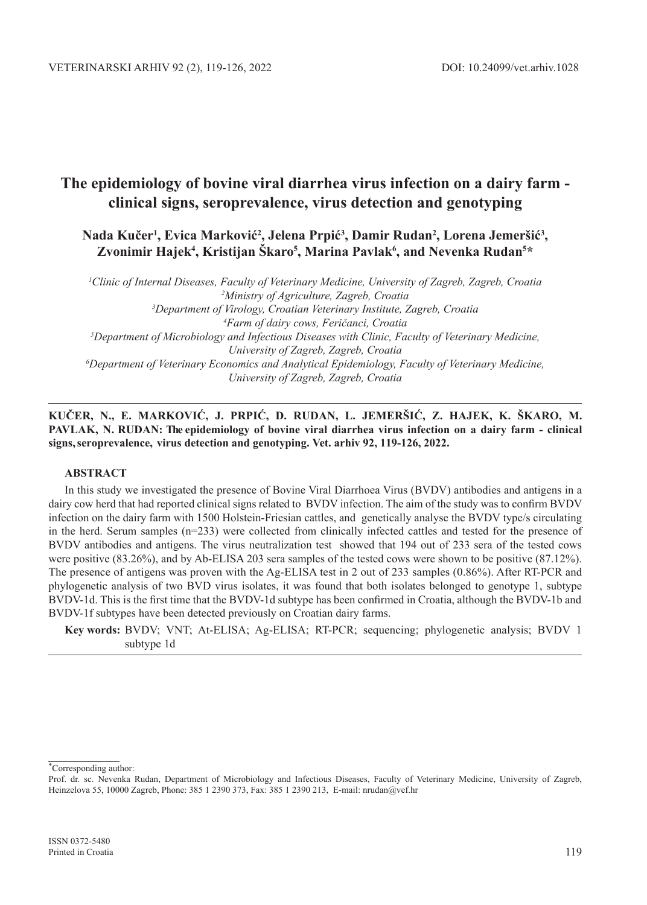## **Nada Kučer<sup>1</sup> , Evica Marković<sup>2</sup> , Jelena Prpić<sup>3</sup> , Damir Rudan2 , Lorena Jemeršić<sup>3</sup> ,**  Zvonimir Hajek<sup>4</sup>, Kristijan Škaro<sup>5</sup>, Marina Pavlak<sup>6</sup>, and Nevenka Rudan<sup>5\*</sup>

 *Clinic of Internal Diseases, Faculty of Veterinary Medicine, University of Zagreb, Zagreb, Croatia Ministry of Agriculture, Zagreb, Croatia Department of Virology, Croatian Veterinary Institute, Zagreb, Croatia Farm of dairy cows, Feričanci, Croatia Department of Microbiology and Infectious Diseases with Clinic, Faculty of Veterinary Medicine, University of Zagreb, Zagreb, Croatia Department of Veterinary Economics and Analytical Epidemiology, Faculty of Veterinary Medicine, University of Zagreb, Zagreb, Croatia*

**KUČER, N., E. MARKOVIĆ, J. PRPIĆ, D. RUDAN, L. JEMERŠIĆ, Z. HAJEK, K. ŠKARO, M. PAVLAK, N. RUDAN: The epidemiology of bovine viral diarrhea virus infection on a dairy farm - clinical signs, seroprevalence, virus detection and genotyping. Vet. arhiv 92, 119-126, 2022.**

#### **ABSTRACT**

In this study we investigated the presence of Bovine Viral Diarrhoea Virus (BVDV) antibodies and antigens in a dairy cow herd that had reported clinical signs related to BVDV infection. The aim of the study was to confirm BVDV infection on the dairy farm with 1500 Holstein-Friesian cattles, and genetically analyse the BVDV type/s circulating in the herd. Serum samples (n=233) were collected from clinically infected cattles and tested for the presence of BVDV antibodies and antigens. The virus neutralization test showed that 194 out of 233 sera of the tested cows were positive (83.26%), and by Ab-ELISA 203 sera samples of the tested cows were shown to be positive (87.12%). The presence of antigens was proven with the Ag-ELISA test in 2 out of 233 samples (0.86%). After RT-PCR and phylogenetic analysis of two BVD virus isolates, it was found that both isolates belonged to genotype 1, subtype BVDV-1d. This is the first time that the BVDV-1d subtype has been confirmed in Croatia, although the BVDV-1b and BVDV-1f subtypes have been detected previously on Croatian dairy farms.

**Key words:** BVDV; VNT; At-ELISA; Ag-ELISA; RT-PCR; sequencing; phylogenetic analysis; BVDV 1 subtype 1d

∗ Corresponding author:

Prof. dr. sc. Nevenka Rudan, Department of Microbiology and Infectious Diseases, Faculty of Veterinary Medicine, University of Zagreb, Heinzelova 55, 10000 Zagreb, Phone: 385 1 2390 373, Fax: 385 1 2390 213, E-mail: nrudan@vef.hr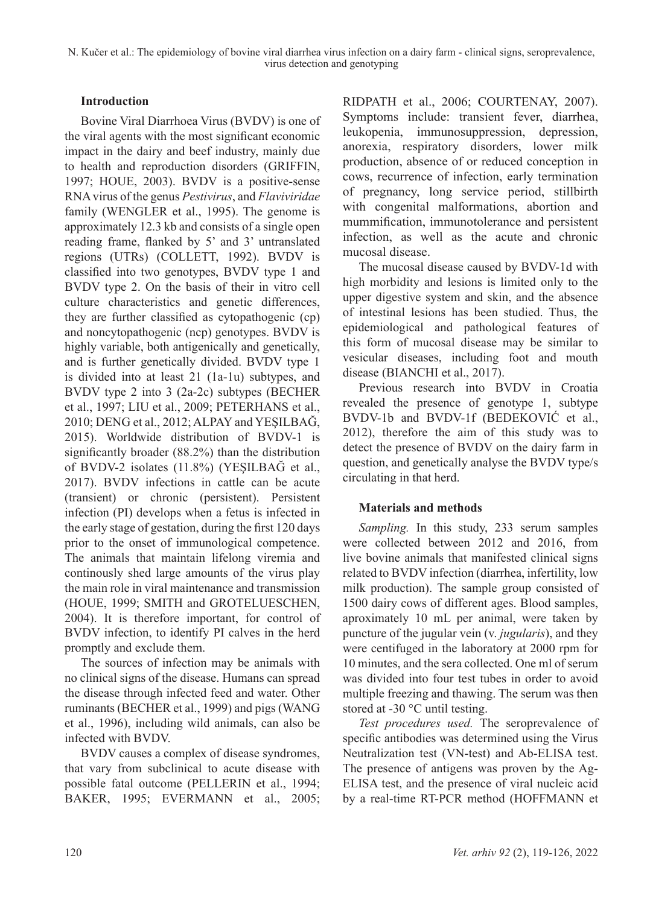#### **Introduction**

Bovine Viral Diarrhoea Virus (BVDV) is one of the viral agents with the most significant economic impact in the dairy and beef industry, mainly due to health and reproduction disorders (GRIFFIN, 1997; HOUE, 2003). BVDV is a positive-sense RNA virus of the genus *Pestivirus*, and *Flaviviridae* family (WENGLER et al., 1995). The genome is approximately 12.3 kb and consists of a single open reading frame, flanked by 5' and 3' untranslated regions (UTRs) (COLLETT, 1992). BVDV is classified into two genotypes, BVDV type 1 and BVDV type 2. On the basis of their in vitro cell culture characteristics and genetic differences, they are further classified as cytopathogenic (cp) and noncytopathogenic (ncp) genotypes. BVDV is highly variable, both antigenically and genetically, and is further genetically divided. BVDV type 1 is divided into at least 21 (1a-1u) subtypes, and BVDV type 2 into 3 (2a-2c) subtypes (BECHER et al., 1997; LIU et al., 2009; PETERHANS et al., 2010; DENG et al., 2012; ALPAY and YEŞILBAĞ, 2015). Worldwide distribution of BVDV-1 is significantly broader (88.2%) than the distribution of BVDV-2 isolates (11.8%) (YEŞILBAĞ et al., 2017). BVDV infections in cattle can be acute (transient) or chronic (persistent). Persistent infection (PI) develops when a fetus is infected in the early stage of gestation, during the first 120 days prior to the onset of immunological competence. The animals that maintain lifelong viremia and continously shed large amounts of the virus play the main role in viral maintenance and transmission (HOUE, 1999; SMITH and GROTELUESCHEN, 2004). It is therefore important, for control of BVDV infection, to identify PI calves in the herd promptly and exclude them.

The sources of infection may be animals with no clinical signs of the disease. Humans can spread the disease through infected feed and water. Other ruminants (BECHER et al., 1999) and pigs (WANG et al., 1996), including wild animals, can also be infected with BVDV.

BVDV causes a complex of disease syndromes, that vary from subclinical to acute disease with possible fatal outcome (PELLERIN et al., 1994; BAKER, 1995; EVERMANN et al., 2005; RIDPATH et al., 2006; COURTENAY, 2007). Symptoms include: transient fever, diarrhea, leukopenia, immunosuppression, depression, anorexia, respiratory disorders, lower milk production, absence of or reduced conception in cows, recurrence of infection, early termination of pregnancy, long service period, stillbirth with congenital malformations, abortion and mummification, immunotolerance and persistent infection, as well as the acute and chronic mucosal disease.

The mucosal disease caused by BVDV-1d with high morbidity and lesions is limited only to the upper digestive system and skin, and the absence of intestinal lesions has been studied. Thus, the epidemiological and pathological features of this form of mucosal disease may be similar to vesicular diseases, including foot and mouth disease (BIANCHI et al., 2017).

Previous research into BVDV in Croatia revealed the presence of genotype 1, subtype BVDV-1b and BVDV-1f (BEDEKOVIĆ et al., 2012), therefore the aim of this study was to detect the presence of BVDV on the dairy farm in question, and genetically analyse the BVDV type/s circulating in that herd.

### **Materials and methods**

*Sampling.* In this study, 233 serum samples were collected between 2012 and 2016, from live bovine animals that manifested clinical signs related to BVDV infection (diarrhea, infertility, low milk production). The sample group consisted of 1500 dairy cows of different ages. Blood samples, aproximately 10 mL per animal, were taken by puncture of the jugular vein (v. *jugularis*), and they were centifuged in the laboratory at 2000 rpm for 10 minutes, and the sera collected. One ml of serum was divided into four test tubes in order to avoid multiple freezing and thawing. The serum was then stored at -30 °C until testing.

*Test procedures used.* The seroprevalence of specific antibodies was determined using the Virus Neutralization test (VN-test) and Ab-ELISA test. The presence of antigens was proven by the Ag-ELISA test, and the presence of viral nucleic acid by a real-time RT-PCR method (HOFFMANN et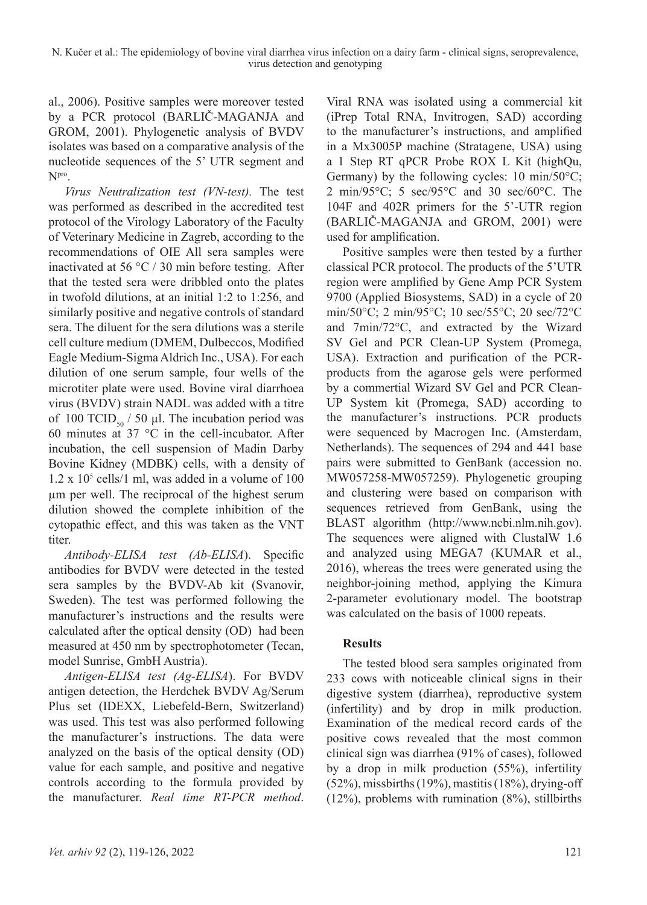al., 2006). Positive samples were moreover tested by a PCR protocol (BARLIČ-MAGANJA and GROM, 2001). Phylogenetic analysis of BVDV isolates was based on a comparative analysis of the nucleotide sequences of the 5' UTR segment and Npro.

*Virus Neutralization test (VN-test).* The test was performed as described in the accredited test protocol of the Virology Laboratory of the Faculty of Veterinary Medicine in Zagreb, according to the recommendations of OIE All sera samples were inactivated at 56  $\degree$ C / 30 min before testing. After that the tested sera were dribbled onto the plates in twofold dilutions, at an initial 1:2 to 1:256, and similarly positive and negative controls of standard sera. The diluent for the sera dilutions was a sterile cell culture medium (DMEM, Dulbeccos, Modified Eagle Medium-Sigma Aldrich Inc., USA). For each dilution of one serum sample, four wells of the microtiter plate were used. Bovine viral diarrhoea virus (BVDV) strain NADL was added with a titre of 100 TCID<sub>50</sub> / 50 µl. The incubation period was 60 minutes at 37 °C in the cell-incubator. After incubation, the cell suspension of Madin Darby Bovine Kidney (MDBK) cells, with a density of  $1.2 \times 10^5$  cells/1 ml, was added in a volume of 100 µm per well. The reciprocal of the highest serum dilution showed the complete inhibition of the cytopathic effect, and this was taken as the VNT titer.

*Antibody-ELISA test (Ab-ELISA*). Specific antibodies for BVDV were detected in the tested sera samples by the BVDV-Ab kit (Svanovir, Sweden). The test was performed following the manufacturer's instructions and the results were calculated after the optical density (OD) had been measured at 450 nm by spectrophotometer (Tecan, model Sunrise, GmbH Austria).

*Antigen-ELISA test (Ag-ELISA*). For BVDV antigen detection, the Herdchek BVDV Ag/Serum Plus set (IDEXX, Liebefeld-Bern, Switzerland) was used. This test was also performed following the manufacturer's instructions. The data were analyzed on the basis of the optical density (OD) value for each sample, and positive and negative controls according to the formula provided by the manufacturer. *Real time RT-PCR method*.

Viral RNA was isolated using a commercial kit (iPrep Total RNA, Invitrogen, SAD) according to the manufacturer's instructions, and amplified in a Mx3005P machine (Stratagene, USA) using a 1 Step RT qPCR Probe ROX L Kit (highQu, Germany) by the following cycles:  $10 \text{ min}/50^{\circ}\text{C}$ ; 2 min/95°C; 5 sec/95°C and 30 sec/60°C. The 104F and 402R primers for the 5'-UTR region (BARLIČ-MAGANJA and GROM, 2001) were used for amplification.

Positive samples were then tested by a further classical PCR protocol. The products of the 5'UTR region were amplified by Gene Amp PCR System 9700 (Applied Biosystems, SAD) in a cycle of 20 min/50°C; 2 min/95°C; 10 sec/55°C; 20 sec/72°C and 7min/72°C, and extracted by the Wizard SV Gel and PCR Clean-UP System (Promega, USA). Extraction and purification of the PCRproducts from the agarose gels were performed by a commertial Wizard SV Gel and PCR Clean-UP System kit (Promega, SAD) according to the manufacturer's instructions. PCR products were sequenced by Macrogen Inc. (Amsterdam, Netherlands). The sequences of 294 and 441 base pairs were submitted to GenBank (accession no. MW057258-MW057259). Phylogenetic grouping and clustering were based on comparison with sequences retrieved from GenBank, using the BLAST algorithm (http://www.ncbi.nlm.nih.gov). The sequences were aligned with ClustalW 1.6 and analyzed using MEGA7 (KUMAR et al., 2016), whereas the trees were generated using the neighbor-joining method, applying the Kimura 2-parameter evolutionary model. The bootstrap was calculated on the basis of 1000 repeats.

### **Results**

The tested blood sera samples originated from 233 cows with noticeable clinical signs in their digestive system (diarrhea), reproductive system (infertility) and by drop in milk production. Examination of the medical record cards of the positive cows revealed that the most common clinical sign was diarrhea (91% of cases), followed by a drop in milk production (55%), infertility  $(52\%)$ , missbirths  $(19\%)$ , mastitis  $(18\%)$ , drying-off  $(12\%)$ , problems with rumination  $(8\%)$ , stillbirths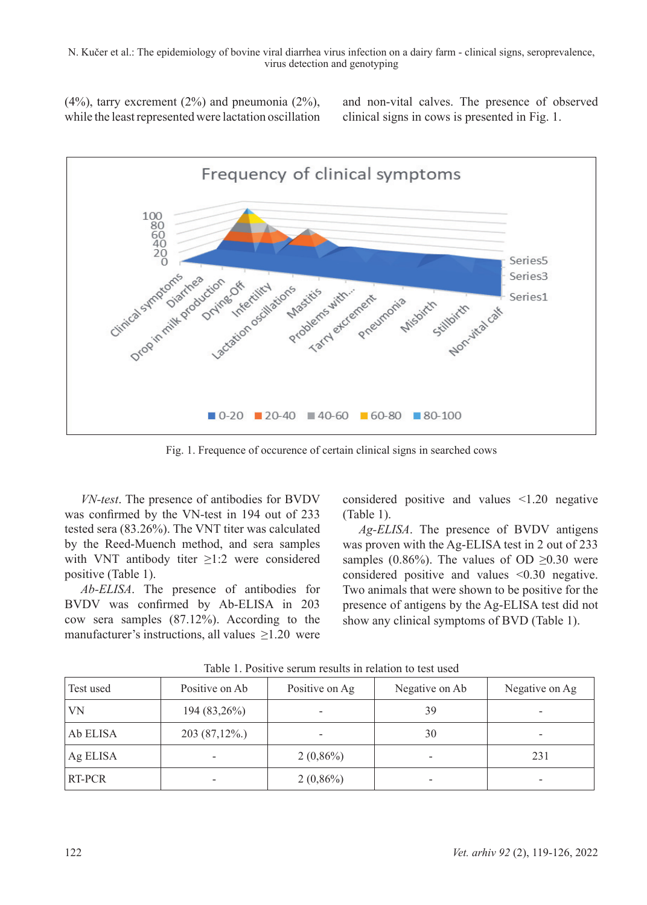$(4%)$ , tarry excrement  $(2%)$  and pneumonia  $(2%)$ , while the least represented were lactation oscillation and non-vital calves. The presence of observed clinical signs in cows is presented in Fig. 1.



Fig. 1. Frequence of occurence of certain clinical signs in searched cows

*VN-test*. The presence of antibodies for BVDV was confirmed by the VN-test in 194 out of 233 tested sera (83.26%). The VNT titer was calculated by the Reed-Muench method, and sera samples with VNT antibody titer ≥1:2 were considered positive (Table 1).

*Ab-ELISA*. The presence of antibodies for BVDV was confirmed by Ab-ELISA in 203 cow sera samples (87.12%). According to the manufacturer's instructions, all values  $\geq 1.20$  were considered positive and values <1.20 negative (Table 1).

*Ag-ELISA*. The presence of BVDV antigens was proven with the Ag-ELISA test in 2 out of 233 samples (0.86%). The values of OD  $\geq 0.30$  were considered positive and values <0.30 negative. Two animals that were shown to be positive for the presence of antigens by the Ag-ELISA test did not show any clinical symptoms of BVD (Table 1).

| Test used | Positive on Ab  | Positive on Ag | Negative on Ab | Negative on Ag |
|-----------|-----------------|----------------|----------------|----------------|
| VN        | 194 (83,26%)    |                | 39             |                |
| Ab ELISA  | $203(87,12\%.)$ |                | 30             |                |
| Ag ELISA  |                 | $2(0,86\%)$    |                | 231            |
| RT-PCR    |                 | $2(0,86\%)$    |                |                |

Table 1. Positive serum results in relation to test used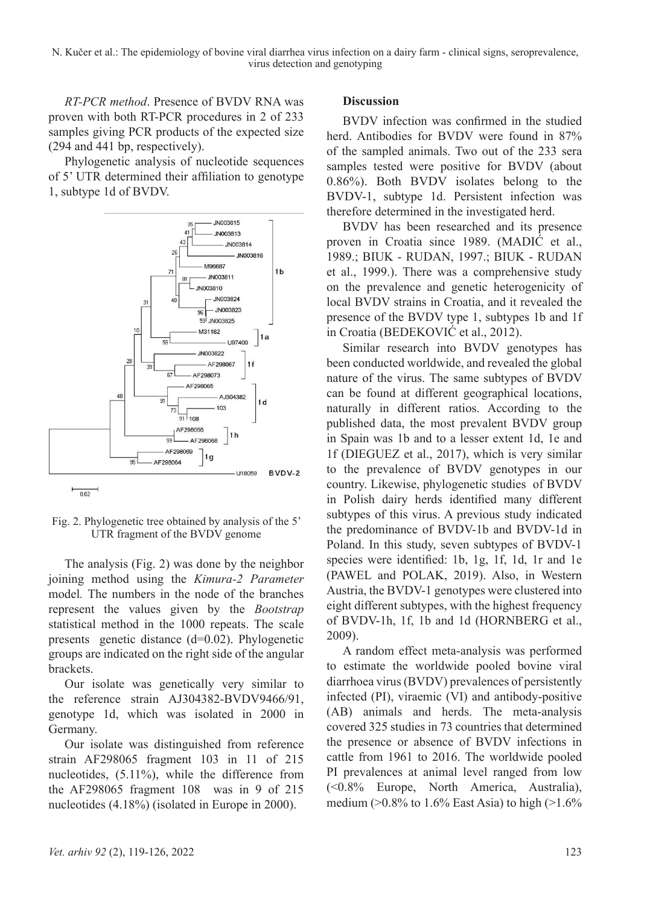*RT-PCR method*. Presence of BVDV RNA was proven with both RT-PCR procedures in 2 of 233 samples giving PCR products of the expected size (294 and 441 bp, respectively).

Phylogenetic analysis of nucleotide sequences of 5' UTR determined their affiliation to genotype 1, subtype 1d of BVDV.



Fig. 2. Phylogenetic tree obtained by analysis of the 5' UTR fragment of the BVDV genome

The analysis (Fig. 2) was done by the neighbor joining method using the *Kimura-2 Parameter* model*.* The numbers in the node of the branches represent the values given by the *Bootstrap* statistical method in the 1000 repeats. The scale presents genetic distance (d=0.02). Phylogenetic groups are indicated on the right side of the angular brackets.

Our isolate was genetically very similar to the reference strain AJ304382-BVDV9466/91, genotype 1d, which was isolated in 2000 in Germany.

Our isolate was distinguished from reference strain AF298065 fragment 103 in 11 of 215 nucleotides, (5.11%), while the difference from the AF298065 fragment 108 was in 9 of 215 nucleotides  $(4.18\%)$  (isolated in Europe in 2000).

#### **Discussion**

BVDV infection was confirmed in the studied herd. Antibodies for BVDV were found in 87% of the sampled animals. Two out of the 233 sera samples tested were positive for BVDV (about 0.86%). Both BVDV isolates belong to the BVDV-1, subtype 1d. Persistent infection was therefore determined in the investigated herd.

BVDV has been researched and its presence proven in Croatia since 1989. (MADIĆ et al., 1989.; BIUK - RUDAN, 1997.; BIUK - RUDAN et al., 1999.). There was a comprehensive study on the prevalence and genetic heterogenicity of local BVDV strains in Croatia, and it revealed the presence of the BVDV type 1, subtypes 1b and 1f in Croatia (BEDEKOVIĆ et al., 2012).

Similar research into BVDV genotypes has been conducted worldwide, and revealed the global nature of the virus. The same subtypes of BVDV can be found at different geographical locations, naturally in different ratios. According to the published data, the most prevalent BVDV group in Spain was 1b and to a lesser extent 1d, 1e and 1f (DIEGUEZ et al., 2017), which is very similar to the prevalence of BVDV genotypes in our country. Likewise, phylogenetic studies of BVDV in Polish dairy herds identified many different subtypes of this virus. A previous study indicated the predominance of BVDV-1b and BVDV-1d in Poland. In this study, seven subtypes of BVDV-1 species were identified: 1b, 1g, 1f, 1d, 1r and 1e (PAWEL and POLAK, 2019). Also, in Western Austria, the BVDV-1 genotypes were clustered into eight different subtypes, with the highest frequency of BVDV-1h, 1f, 1b and 1d (HORNBERG et al., 2009).

A random effect meta-analysis was performed to estimate the worldwide pooled bovine viral diarrhoea virus (BVDV) prevalences of persistently infected (PI), viraemic (VI) and antibody-positive (AB) animals and herds. The meta-analysis covered 325 studies in 73 countries that determined the presence or absence of BVDV infections in cattle from 1961 to 2016. The worldwide pooled PI prevalences at animal level ranged from low (<0.8% Europe, North America, Australia), medium ( $>0.8\%$  to 1.6% East Asia) to high ( $>1.6\%$ )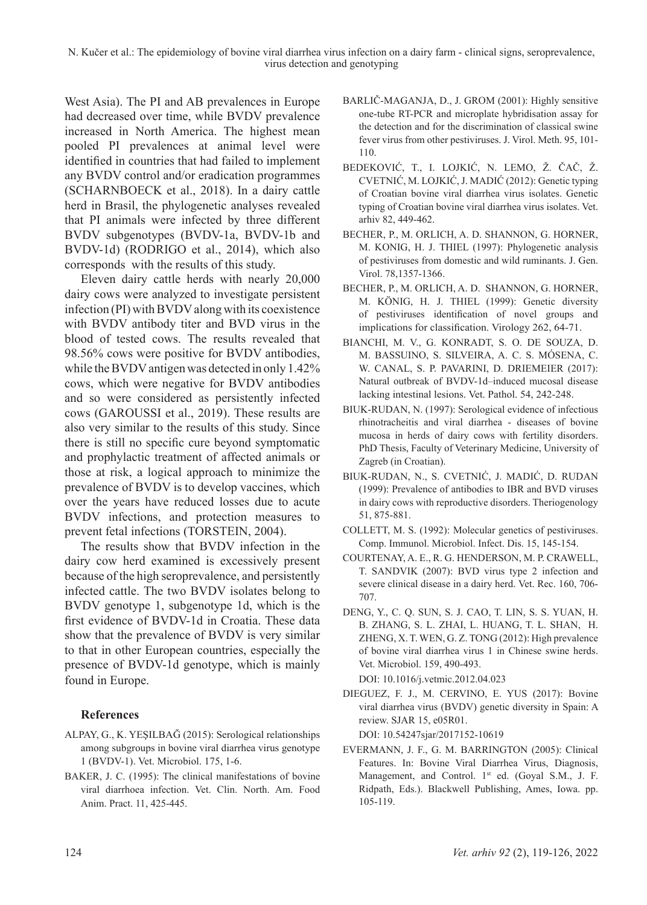West Asia). The PI and AB prevalences in Europe had decreased over time, while BVDV prevalence increased in North America. The highest mean pooled PI prevalences at animal level were identified in countries that had failed to implement any BVDV control and/or eradication programmes (SCHARNBOECK et al., 2018). In a dairy cattle herd in Brasil, the phylogenetic analyses revealed that PI animals were infected by three different BVDV subgenotypes (BVDV-1a, BVDV-1b and BVDV-1d) (RODRIGO et al., 2014), which also corresponds with the results of this study.

Eleven dairy cattle herds with nearly 20,000 dairy cows were analyzed to investigate persistent infection (PI) with BVDV along with its coexistence with BVDV antibody titer and BVD virus in the blood of tested cows. The results revealed that 98.56% cows were positive for BVDV antibodies, while the BVDV antigen was detected in only 1.42% cows, which were negative for BVDV antibodies and so were considered as persistently infected cows (GAROUSSI et al., 2019). These results are also very similar to the results of this study. Since there is still no specific cure beyond symptomatic and prophylactic treatment of affected animals or those at risk, a logical approach to minimize the prevalence of BVDV is to develop vaccines, which over the years have reduced losses due to acute BVDV infections, and protection measures to prevent fetal infections (TORSTEIN, 2004).

The results show that BVDV infection in the dairy cow herd examined is excessively present because of the high seroprevalence, and persistently infected cattle. The two BVDV isolates belong to BVDV genotype 1, subgenotype 1d, which is the first evidence of BVDV-1d in Croatia. These data show that the prevalence of BVDV is very similar to that in other European countries, especially the presence of BVDV-1d genotype, which is mainly found in Europe.

### **References**

- ALPAY, G., K. YEŞILBAĞ (2015): Serological relationships among subgroups in bovine viral diarrhea virus genotype 1 (BVDV-1). Vet. Microbiol. 175, 1-6.
- BAKER, J. C. (1995): The clinical manifestations of bovine viral diarrhoea infection. Vet. Clin. North. Am. Food Anim. Pract. 11, 425-445.
- BARLIČ-MAGANJA, D., J. GROM (2001): Highly sensitive one-tube RT-PCR and microplate hybridisation assay for the detection and for the discrimination of classical swine fever virus from other pestiviruses. J. Virol. Meth. 95, 101- 110.
- BEDEKOVIĆ, T., I. LOJKIĆ, N. LEMO, Ž. ČAČ, Ž. CVETNIĆ, M. LOJKIĆ, J. MADIĆ (2012): Genetic typing of Croatian bovine viral diarrhea virus isolates. Genetic typing of Croatian bovine viral diarrhea virus isolates. Vet. arhiv 82, 449-462.
- BECHER, P., M. ORLICH, A. D. SHANNON, G. HORNER, M. KONIG, H. J. THIEL (1997): Phylogenetic analysis of pestiviruses from domestic and wild ruminants. J. Gen. Virol. 78,1357-1366.
- BECHER, P., M. ORLICH, A. D. SHANNON, G. HORNER, M. KÖNIG, H. J. THIEL (1999): Genetic diversity of pestiviruses identification of novel groups and implications for classification. Virology 262, 64-71.
- BIANCHI, M. V., G. KONRADT, S. O. DE SOUZA, D. M. BASSUINO, S. SILVEIRA, A. C. S. MÓSENA, C. W. CANAL, S. P. PAVARINI, D. DRIEMEIER (2017): Natural outbreak of BVDV-1d–induced mucosal disease lacking intestinal lesions. Vet. Pathol. 54, 242-248.
- BIUK-RUDAN, N. (1997): Serological evidence of infectious rhinotracheitis and viral diarrhea - diseases of bovine mucosa in herds of dairy cows with fertility disorders. PhD Thesis, Faculty of Veterinary Medicine, University of Zagreb (in Croatian).
- BIUK-RUDAN, N., S. CVETNIĆ, J. MADIĆ, D. RUDAN (1999): Prevalence of antibodies to IBR and BVD viruses in dairy cows with reproductive disorders. Theriogenology 51, 875-881.
- COLLETT, M. S. (1992): Molecular genetics of pestiviruses. Comp. Immunol. Microbiol. Infect. Dis. 15, 145-154.
- COURTENAY, A. E., R. G. HENDERSON, M. P. CRAWELL, T. SANDVIK (2007): BVD virus type 2 infection and severe clinical disease in a dairy herd. Vet. Rec. 160, 706- 707.
- DENG, Y., C. Q. SUN, S. J. CAO, T. LIN, S. S. YUAN, H. B. ZHANG, S. L. ZHAI, L. HUANG, T. L. SHAN, H. ZHENG, X. T. WEN, G. Z. TONG (2012): High prevalence of bovine viral diarrhea virus 1 in Chinese swine herds. Vet. Microbiol. 159, 490-493. DOI: 10.1016/j.vetmic.2012.04.023
- DIEGUEZ, F. J., M. CERVINO, E. YUS (2017): Bovine viral diarrhea virus (BVDV) genetic diversity in Spain: A review. SJAR 15, e05R01.

DOI: 10.54247sjar/2017152-10619

EVERMANN, J. F., G. M. BARRINGTON (2005): Clinical Features. In: Bovine Viral Diarrhea Virus, Diagnosis, Management, and Control. 1<sup>st</sup> ed. (Goyal S.M., J. F. Ridpath, Eds.). Blackwell Publishing, Ames, Iowa. pp. 105-119.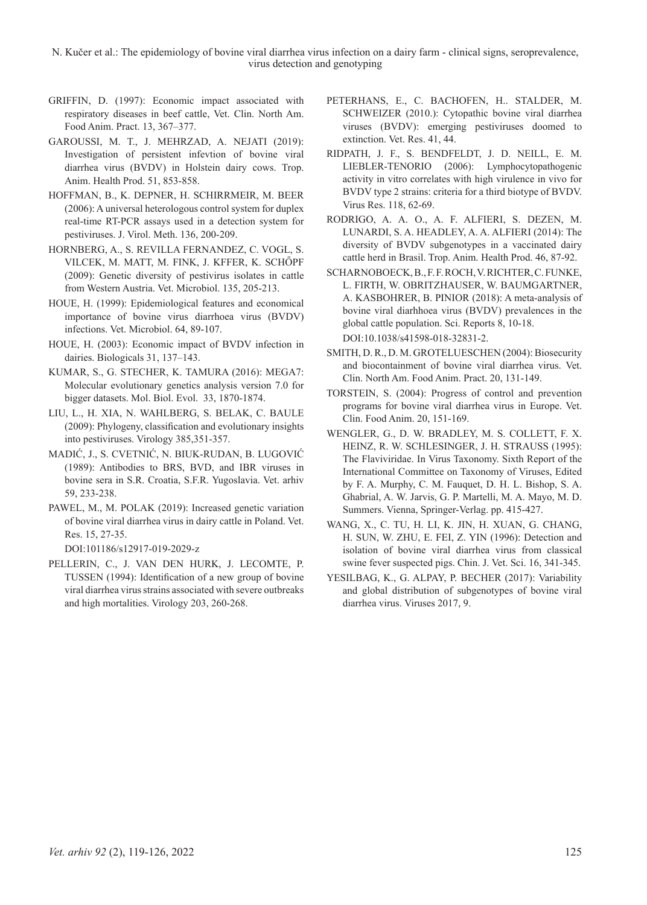- GRIFFIN, D. (1997): Economic impact associated with respiratory diseases in beef cattle, Vet. Clin. North Am. Food Anim. Pract. 13, 367–377.
- GAROUSSI, M. T., J. MEHRZAD, A. NEJATI (2019): Investigation of persistent infevtion of bovine viral diarrhea virus (BVDV) in Holstein dairy cows. Trop. Anim. Health Prod. 51, 853-858.
- HOFFMAN, B., K. DEPNER, H. SCHIRRMEIR, M. BEER (2006): A universal heterologous control system for duplex real-time RT-PCR assays used in a detection system for pestiviruses. J. Virol. Meth. 136, 200-209.
- HORNBERG, A., S. REVILLA FERNANDEZ, C. VOGL, S. VILCEK, M. MATT, M. FINK, J. KFFER, K. SCHŐPF (2009): Genetic diversity of pestivirus isolates in cattle from Western Austria. Vet. Microbiol. 135, 205-213.
- HOUE, H. (1999): Epidemiological features and economical importance of bovine virus diarrhoea virus (BVDV) infections. Vet. Microbiol. 64, 89-107.
- HOUE, H. (2003): Economic impact of BVDV infection in dairies. Biologicals 31, 137–143.
- KUMAR, S., G. STECHER, K. TAMURA (2016): MEGA7: Molecular evolutionary genetics analysis version 7.0 for bigger datasets. Mol. Biol. Evol. 33, 1870-1874.
- LIU, L., H. XIA, N. WAHLBERG, S. BELAK, C. BAULE (2009): Phylogeny, classification and evolutionary insights into pestiviruses. Virology 385,351-357.
- MADIĆ, J., S. CVETNIĆ, N. BIUK-RUDAN, B. LUGOVIĆ (1989): Antibodies to BRS, BVD, and IBR viruses in bovine sera in S.R. Croatia, S.F.R. Yugoslavia. Vet. arhiv 59, 233-238.
- PAWEL, M., M. POLAK (2019): Increased genetic variation of bovine viral diarrhea virus in dairy cattle in Poland. Vet. Res. 15, 27-35.

DOI:101186/s12917-019-2029-z

PELLERIN, C., J. VAN DEN HURK, J. LECOMTE, P. TUSSEN (1994): Identification of a new group of bovine viral diarrhea virus strains associated with severe outbreaks and high mortalities. Virology 203, 260-268.

- PETERHANS, E., C. BACHOFEN, H.. STALDER, M. SCHWEIZER (2010.): Cytopathic bovine viral diarrhea viruses (BVDV): emerging pestiviruses doomed to extinction. Vet. Res. 41, 44.
- RIDPATH, J. F., S. BENDFELDT, J. D. NEILL, E. M. LIEBLER-TENORIO (2006): Lymphocytopathogenic activity in vitro correlates with high virulence in vivo for BVDV type 2 strains: criteria for a third biotype of BVDV. Virus Res. 118, 62-69.
- RODRIGO, A. A. O., A. F. ALFIERI, S. DEZEN, M. LUNARDI, S. A. HEADLEY, A. A. ALFIERI (2014): The diversity of BVDV subgenotypes in a vaccinated dairy cattle herd in Brasil. Trop. Anim. Health Prod. 46, 87-92.
- SCHARNOBOECK, B., F. F. ROCH, V. RICHTER, C. FUNKE, L. FIRTH, W. OBRITZHAUSER, W. BAUMGARTNER, A. KASBOHRER, B. PINIOR (2018): A meta-analysis of bovine viral diarhhoea virus (BVDV) prevalences in the global cattle population. Sci. Reports 8, 10-18. DOI:10.1038/s41598-018-32831-2.
- SMITH, D. R., D. M. GROTELUESCHEN (2004): Biosecurity and biocontainment of bovine viral diarrhea virus. Vet. Clin. North Am. Food Anim. Pract. 20, 131-149.
- TORSTEIN, S. (2004): Progress of control and prevention programs for bovine viral diarrhea virus in Europe. Vet. Clin. Food Anim. 20, 151-169.
- WENGLER, G., D. W. BRADLEY, M. S. COLLETT, F. X. HEINZ, R. W. SCHLESINGER, J. H. STRAUSS (1995): The Flaviviridae. In Virus Taxonomy. Sixth Report of the International Committee on Taxonomy of Viruses, Edited by F. A. Murphy, C. M. Fauquet, D. H. L. Bishop, S. A. Ghabrial, A. W. Jarvis, G. P. Martelli, M. A. Mayo, M. D. Summers. Vienna, Springer-Verlag. pp. 415-427.
- WANG, X., C. TU, H. LI, K. JIN, H. XUAN, G. CHANG, H. SUN, W. ZHU, E. FEI, Z. YIN (1996): Detection and isolation of bovine viral diarrhea virus from classical swine fever suspected pigs. Chin. J. Vet. Sci. 16, 341-345.
- YESILBAG, K., G. ALPAY, P. BECHER (2017): Variability and global distribution of subgenotypes of bovine viral diarrhea virus. Viruses 2017, 9.